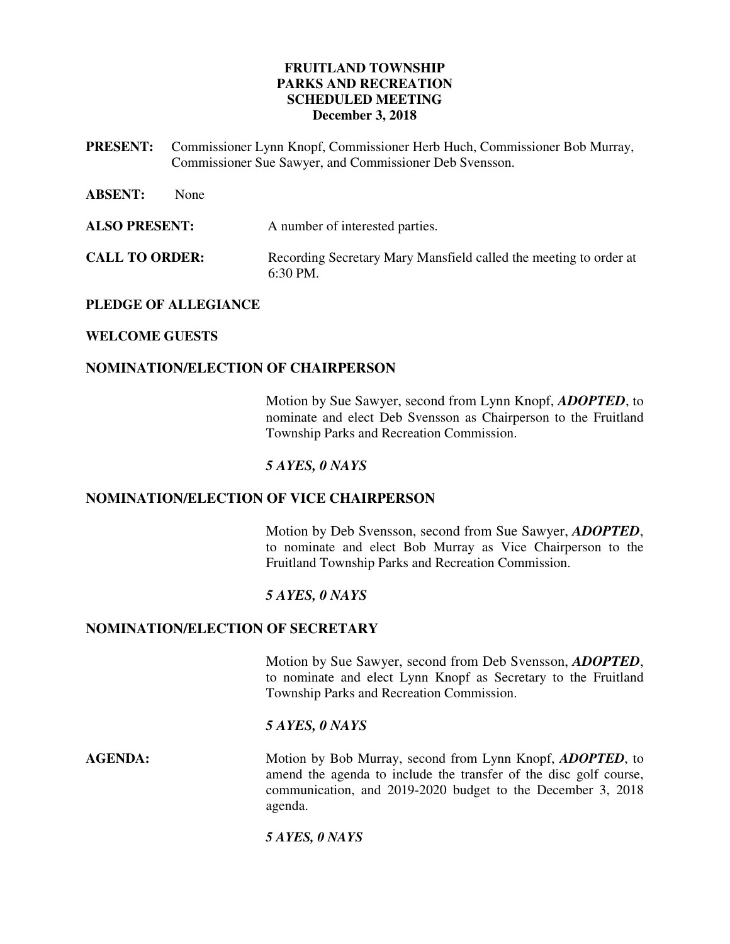## **FRUITLAND TOWNSHIP PARKS AND RECREATION SCHEDULED MEETING December 3, 2018**

- **PRESENT:** Commissioner Lynn Knopf, Commissioner Herb Huch, Commissioner Bob Murray, Commissioner Sue Sawyer, and Commissioner Deb Svensson.
- **ABSENT:** None **ALSO PRESENT:** A number of interested parties. **CALL TO ORDER:** Recording Secretary Mary Mansfield called the meeting to order at 6:30 PM.

## **PLEDGE OF ALLEGIANCE**

## **WELCOME GUESTS**

## **NOMINATION/ELECTION OF CHAIRPERSON**

Motion by Sue Sawyer, second from Lynn Knopf, *ADOPTED*, to nominate and elect Deb Svensson as Chairperson to the Fruitland Township Parks and Recreation Commission.

## *5 AYES, 0 NAYS*

#### **NOMINATION/ELECTION OF VICE CHAIRPERSON**

Motion by Deb Svensson, second from Sue Sawyer, *ADOPTED*, to nominate and elect Bob Murray as Vice Chairperson to the Fruitland Township Parks and Recreation Commission.

#### *5 AYES, 0 NAYS*

#### **NOMINATION/ELECTION OF SECRETARY**

Motion by Sue Sawyer, second from Deb Svensson, *ADOPTED*, to nominate and elect Lynn Knopf as Secretary to the Fruitland Township Parks and Recreation Commission.

#### *5 AYES, 0 NAYS*

**AGENDA:** Motion by Bob Murray, second from Lynn Knopf, *ADOPTED*, to amend the agenda to include the transfer of the disc golf course, communication, and 2019-2020 budget to the December 3, 2018 agenda.

#### *5 AYES, 0 NAYS*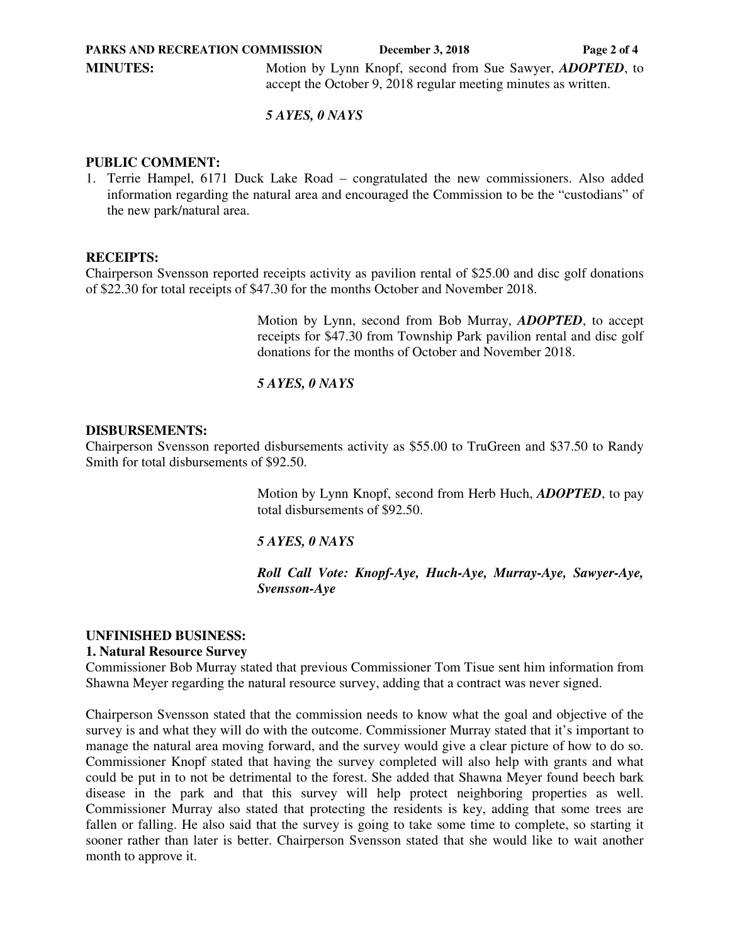*5 AYES, 0 NAYS* 

### **PUBLIC COMMENT:**

1. Terrie Hampel, 6171 Duck Lake Road – congratulated the new commissioners. Also added information regarding the natural area and encouraged the Commission to be the "custodians" of the new park/natural area.

## **RECEIPTS:**

Chairperson Svensson reported receipts activity as pavilion rental of \$25.00 and disc golf donations of \$22.30 for total receipts of \$47.30 for the months October and November 2018.

> Motion by Lynn, second from Bob Murray, *ADOPTED*, to accept receipts for \$47.30 from Township Park pavilion rental and disc golf donations for the months of October and November 2018.

*5 AYES, 0 NAYS*

## **DISBURSEMENTS:**

Chairperson Svensson reported disbursements activity as \$55.00 to TruGreen and \$37.50 to Randy Smith for total disbursements of \$92.50.

> Motion by Lynn Knopf, second from Herb Huch, *ADOPTED*, to pay total disbursements of \$92.50.

#### *5 AYES, 0 NAYS*

*Roll Call Vote: Knopf-Aye, Huch-Aye, Murray-Aye, Sawyer-Aye, Svensson-Aye*

#### **UNFINISHED BUSINESS:**

#### **1. Natural Resource Survey**

Commissioner Bob Murray stated that previous Commissioner Tom Tisue sent him information from Shawna Meyer regarding the natural resource survey, adding that a contract was never signed.

Chairperson Svensson stated that the commission needs to know what the goal and objective of the survey is and what they will do with the outcome. Commissioner Murray stated that it's important to manage the natural area moving forward, and the survey would give a clear picture of how to do so. Commissioner Knopf stated that having the survey completed will also help with grants and what could be put in to not be detrimental to the forest. She added that Shawna Meyer found beech bark disease in the park and that this survey will help protect neighboring properties as well. Commissioner Murray also stated that protecting the residents is key, adding that some trees are fallen or falling. He also said that the survey is going to take some time to complete, so starting it sooner rather than later is better. Chairperson Svensson stated that she would like to wait another month to approve it.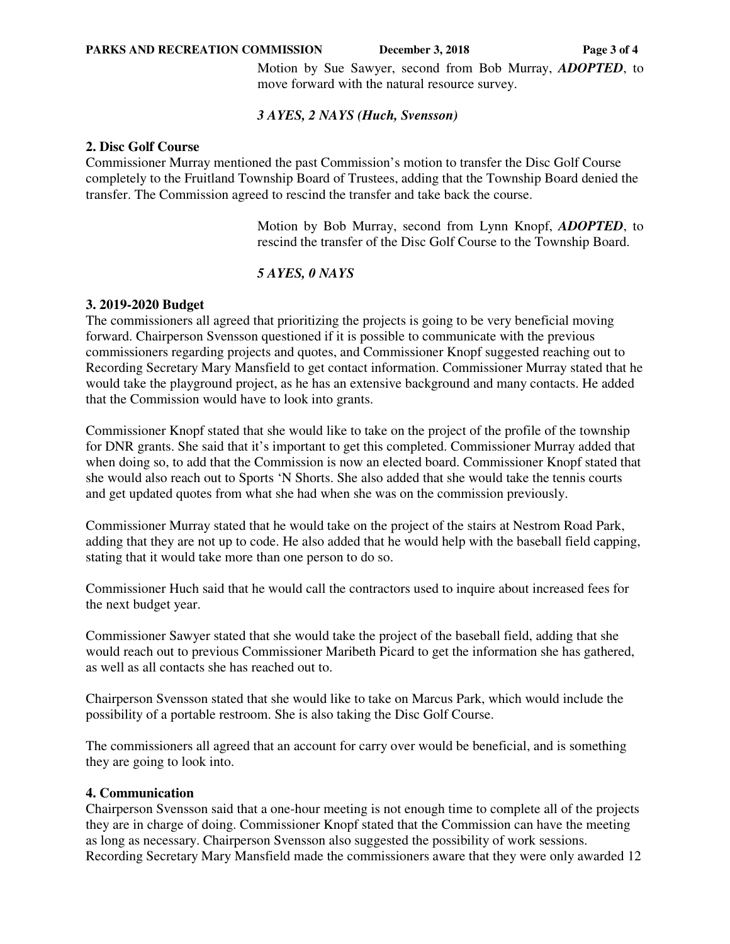#### **PARKS AND RECREATION COMMISSION** December 3, 2018 Page 3 of 4

Motion by Sue Sawyer, second from Bob Murray, *ADOPTED*, to move forward with the natural resource survey.

### *3 AYES, 2 NAYS (Huch, Svensson)*

#### **2. Disc Golf Course**

Commissioner Murray mentioned the past Commission's motion to transfer the Disc Golf Course completely to the Fruitland Township Board of Trustees, adding that the Township Board denied the transfer. The Commission agreed to rescind the transfer and take back the course.

> Motion by Bob Murray, second from Lynn Knopf, *ADOPTED*, to rescind the transfer of the Disc Golf Course to the Township Board.

## *5 AYES, 0 NAYS*

## **3. 2019-2020 Budget**

The commissioners all agreed that prioritizing the projects is going to be very beneficial moving forward. Chairperson Svensson questioned if it is possible to communicate with the previous commissioners regarding projects and quotes, and Commissioner Knopf suggested reaching out to Recording Secretary Mary Mansfield to get contact information. Commissioner Murray stated that he would take the playground project, as he has an extensive background and many contacts. He added that the Commission would have to look into grants.

Commissioner Knopf stated that she would like to take on the project of the profile of the township for DNR grants. She said that it's important to get this completed. Commissioner Murray added that when doing so, to add that the Commission is now an elected board. Commissioner Knopf stated that she would also reach out to Sports 'N Shorts. She also added that she would take the tennis courts and get updated quotes from what she had when she was on the commission previously.

Commissioner Murray stated that he would take on the project of the stairs at Nestrom Road Park, adding that they are not up to code. He also added that he would help with the baseball field capping, stating that it would take more than one person to do so.

Commissioner Huch said that he would call the contractors used to inquire about increased fees for the next budget year.

Commissioner Sawyer stated that she would take the project of the baseball field, adding that she would reach out to previous Commissioner Maribeth Picard to get the information she has gathered, as well as all contacts she has reached out to.

Chairperson Svensson stated that she would like to take on Marcus Park, which would include the possibility of a portable restroom. She is also taking the Disc Golf Course.

The commissioners all agreed that an account for carry over would be beneficial, and is something they are going to look into.

## **4. Communication**

Chairperson Svensson said that a one-hour meeting is not enough time to complete all of the projects they are in charge of doing. Commissioner Knopf stated that the Commission can have the meeting as long as necessary. Chairperson Svensson also suggested the possibility of work sessions. Recording Secretary Mary Mansfield made the commissioners aware that they were only awarded 12